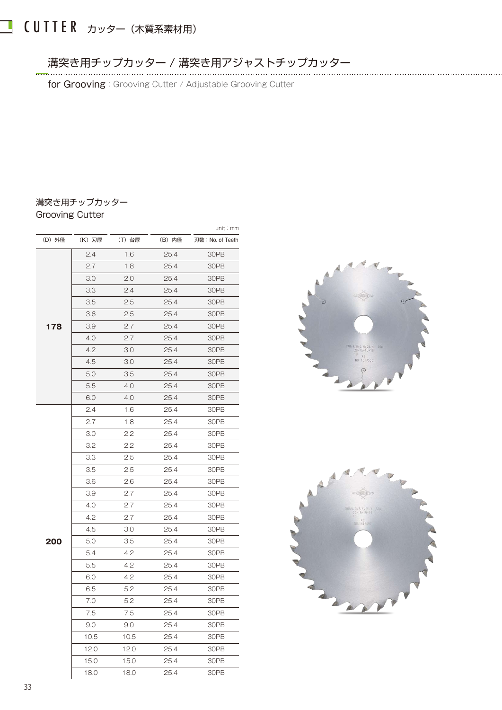# ■ CUTTER カッター (木質系素材用)

溝突き用チップカッター / 溝突き用アジャストチップカッター

for Grooving: Grooving Cutter / Adjustable Grooving Cutter

#### 溝突き用チップカッター Grooving Cutter

|       |        |        |        | unit:mm          |
|-------|--------|--------|--------|------------------|
| (D)外径 | (K) 刃厚 | (T) 台厚 | (B) 内径 | 刃数: No. of Teeth |
|       | 2.4    | 1.6    | 25.4   | 30PB             |
|       | 2.7    | 1.8    | 25.4   | 30PB             |
|       | 3.0    | 2.0    | 25.4   | 30PB             |
|       | 3.3    | 2.4    | 25.4   | 30PB             |
|       | 3.5    | 2.5    | 25.4   | 30PB             |
|       | 3.6    | 2.5    | 25.4   | 30PB             |
| 178   | 3.9    | 2.7    | 25.4   | 30PB             |
|       | 4.0    | 2.7    | 25.4   | 30PB             |
|       | 4.2    | 3.0    | 25.4   | 30PB             |
|       | 4.5    | 3.0    | 25.4   | 30PB             |
|       | 5.0    | 3.5    | 25.4   | 30PB             |
|       | 5.5    | 4.0    | 25.4   | 30PB             |
|       | 6.0    | 4.0    | 25.4   | 30PB             |
|       | 2.4    | 1.6    | 25.4   | 30PB             |
|       | 2.7    | 1.8    | 25.4   | 30PB             |
|       | 3.0    | 2.2    | 25.4   | 30PB             |
|       | 3.2    | 2.2    | 25.4   | 30PB             |
|       | 3.3    | 2.5    | 25.4   | 30PB             |
|       | 3.5    | 2.5    | 25.4   | 30PB             |
|       | 3.6    | 2.6    | 25.4   | 30PB             |
|       | 3.9    | 2.7    | 25.4   | 30PB             |
|       | 4.0    | 2.7    | 25.4   | 30PB             |
|       | 4.2    | 2.7    | 25.4   | 30PB             |
|       | 4.5    | 3.0    | 25.4   | 30PB             |
| 200   | 5.0    | 3.5    | 25.4   | 30PB             |
|       | 5.4    | 4.2    | 25.4   | 30PB             |
|       | 5.5    | 4.2    | 25.4   | 30PB             |
|       | 6.0    | 4.2    | 25.4   | 30PB             |
|       | 6.5    | 5.2    | 25.4   | 30PB             |
|       | 7.0    | 5.2    | 25.4   | 30PB             |
|       | 7.5    | 7.5    | 25.4   | 30PB             |
|       | 9.0    | 9.0    | 25.4   | 30PB             |
|       | 10.5   | 10.5   | 25.4   | 30PB             |
|       | 12.0   | 12.0   | 25.4   | 30PB             |
|       | 15.0   | 15.0   | 25.4   | 30PB             |
|       | 18.0   | 18.0   | 25.4   | 30PB             |



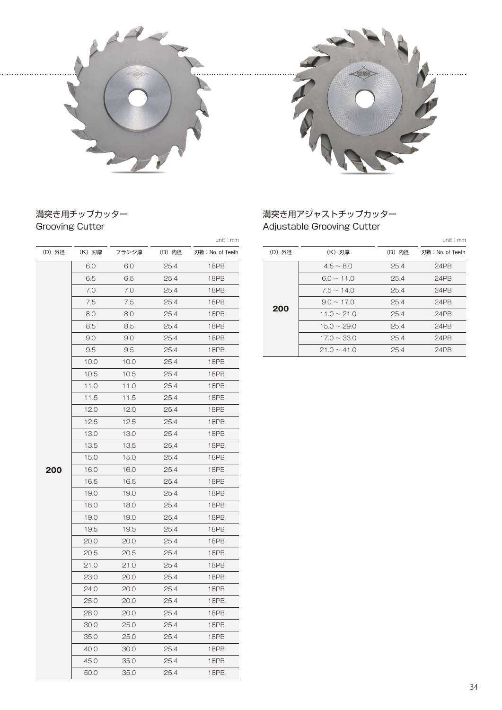



#### 溝突き用チップカッター Grooving Cutter

|        |        |       |        | unit : mm        |
|--------|--------|-------|--------|------------------|
| (D) 外径 | (K) 刃厚 | フランジ厚 | (B) 内径 | 刃数: No. of Teeth |
|        | 6.0    | 6.0   | 25.4   | 18PB             |
|        | 6.5    | 6.5   | 25.4   | 18PB             |
|        | 7.0    | 7.0   | 25.4   | 18PB             |
|        | 7.5    | 7.5   | 25.4   | 18PB             |
|        | 8.0    | 8.0   | 25.4   | 18PB             |
|        | 8.5    | 8.5   | 25.4   | 18PB             |
|        | 9.0    | 9.0   | 25.4   | 18PB             |
|        | 9.5    | 9.5   | 25.4   | 18PB             |
|        | 10.0   | 10.0  | 25.4   | 18PB             |
|        | 10.5   | 10.5  | 25.4   | 18PB             |
|        | 11.0   | 11.0  | 25.4   | 18PB             |
|        | 11.5   | 11.5  | 25.4   | 18PB             |
|        | 12.0   | 12.0  | 25.4   | 18PB             |
|        | 12.5   | 12.5  | 25.4   | 18PB             |
|        | 13.0   | 13.0  | 25.4   | 18PB             |
|        | 13.5   | 13.5  | 25.4   | 18PB             |
|        | 15.0   | 15.0  | 25.4   | 18PB             |
| 200    | 16.0   | 16.0  | 25.4   | 18PB             |
|        | 16.5   | 16.5  | 25.4   | 18PB             |
|        | 19.0   | 19.0  | 25.4   | 18PB             |
|        | 18.0   | 18.0  | 25.4   | 18PB             |
|        | 19.0   | 19.0  | 25.4   | 18PB             |
|        | 19.5   | 19.5  | 25.4   | 18PB             |
|        | 20.0   | 20.0  | 25.4   | 18PB             |
|        | 20.5   | 20.5  | 25.4   | 18PB             |
|        | 21.0   | 21.0  | 25.4   | 18PB             |
|        | 23.0   | 20.0  | 25.4   | 18PB             |
|        | 24.0   | 20.0  | 25.4   | 18PB             |
|        | 25.0   | 20.0  | 25.4   | 18PB             |
|        | 28.0   | 20.0  | 25.4   | 18PB             |
|        | 30.0   | 25.0  | 25.4   | 18PB             |
|        | 35.0   | 25.0  | 25.4   | 18PB             |
|        | 40.0   | 30.0  | 25.4   | 18PB             |
|        | 45.0   | 35.0  | 25.4   | 18PB             |
|        | 50.0   | 35.0  | 25.4   | 18PB             |

#### 溝突き用アジャストチップカッター Adjustable Grooving Cutter

| (D) 外径<br>(D) 外径<br>(K) 刃厚<br>(B) 内径<br>(K) 刃厚<br>フランジ厚<br>(B) 内径<br>刃数: No. of Teeth<br>刃数: No. of Teeth<br>6.0<br>$4.5 \sim 8.0$<br>6.0<br>25.4<br>18PB<br>25.4<br>24PB<br>6.5<br>6.5<br>18PB<br>25.4<br>25.4<br>24PB<br>$6.0 \sim 11.0$<br>7.0<br>7.0<br>25.4<br>18PB<br>24PB<br>25.4<br>$7.5 \sim 14.0$<br>7.5<br>7.5<br>18PB<br>24PB<br>25.4<br>$9.0 \sim 17.0$<br>25.4<br>200<br>8.0<br>8.0<br>18PB<br>$11.0 \sim 21.0$<br>25.4<br>24PB<br>25.4<br>8.5<br>8.5<br>25.4<br>18PB<br>$15.0 \sim 29.0$<br>24PB<br>25.4<br>9.0<br>9.0<br>18PB<br>25.4<br>$17.0 \sim 33.0$<br>25.4<br>24PB<br>9.5<br>9.5<br>25.4<br>18PB<br>$21.0 \sim 41.0$<br>25.4<br>24PB |  |  | unit : mm |  |  | unit: mm |
|-------------------------------------------------------------------------------------------------------------------------------------------------------------------------------------------------------------------------------------------------------------------------------------------------------------------------------------------------------------------------------------------------------------------------------------------------------------------------------------------------------------------------------------------------------------------------------------------------------------------------------------------------------------|--|--|-----------|--|--|----------|
|                                                                                                                                                                                                                                                                                                                                                                                                                                                                                                                                                                                                                                                             |  |  |           |  |  |          |
|                                                                                                                                                                                                                                                                                                                                                                                                                                                                                                                                                                                                                                                             |  |  |           |  |  |          |
|                                                                                                                                                                                                                                                                                                                                                                                                                                                                                                                                                                                                                                                             |  |  |           |  |  |          |
|                                                                                                                                                                                                                                                                                                                                                                                                                                                                                                                                                                                                                                                             |  |  |           |  |  |          |
|                                                                                                                                                                                                                                                                                                                                                                                                                                                                                                                                                                                                                                                             |  |  |           |  |  |          |
|                                                                                                                                                                                                                                                                                                                                                                                                                                                                                                                                                                                                                                                             |  |  |           |  |  |          |
|                                                                                                                                                                                                                                                                                                                                                                                                                                                                                                                                                                                                                                                             |  |  |           |  |  |          |
|                                                                                                                                                                                                                                                                                                                                                                                                                                                                                                                                                                                                                                                             |  |  |           |  |  |          |
|                                                                                                                                                                                                                                                                                                                                                                                                                                                                                                                                                                                                                                                             |  |  |           |  |  |          |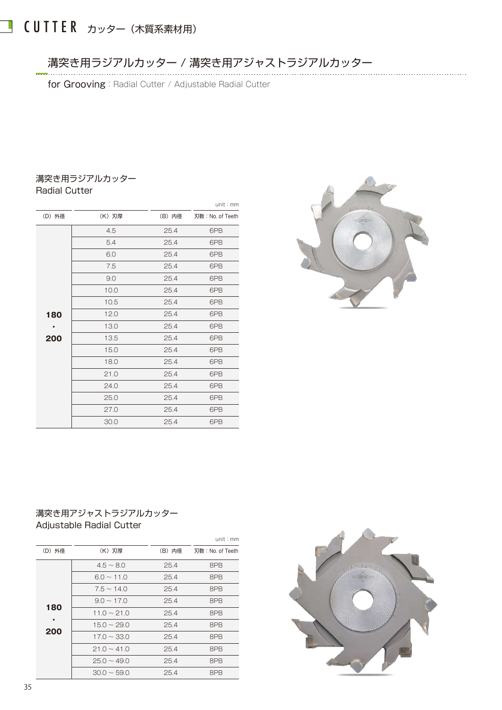## ■ CUTTER カッター (木質系素材用)

#### 溝突き用ラジアルカッター / 溝突き用アジャストラジアルカッター

for Grooving: Radial Cutter / Adjustable Radial Cutter

#### 溝突き用ラジアルカッター Radial Cutter

|        |        |        | unit : mm        |
|--------|--------|--------|------------------|
| (D) 外径 | (K) 刃厚 | (B) 内径 | 刃数: No. of Teeth |
|        | 4.5    | 25.4   | 6PB              |
|        | 5.4    | 25.4   | 6PB              |
|        | 6.0    | 25.4   | 6PB              |
|        | 7.5    | 25.4   | 6PB              |
|        | 9.0    | 25.4   | 6PB              |
|        | 10.0   | 25.4   | 6PB              |
|        | 10.5   | 25.4   | 6PB              |
| 180    | 12.0   | 25.4   | 6PB              |
|        | 13.0   | 25.4   | 6PB              |
| 200    | 13.5   | 25.4   | 6PB              |
|        | 15.0   | 25.4   | 6PB              |
|        | 18.0   | 25.4   | 6PB              |
|        | 21.0   | 25.4   | 6PB              |
|        | 24.0   | 25.4   | 6PB              |
|        | 25.0   | 25.4   | 6PB              |
|        | 27.0   | 25.4   | 6PB              |
|        | 30.0   | 25.4   | 6PB              |



#### 溝突き用アジャストラジアルカッター Adjustable Radial Cutter

|        |                  |        | unit : $mm$     |
|--------|------------------|--------|-----------------|
| (D) 外径 | (K) 刃厚           | (B) 内径 | 刃数:No. of Teeth |
|        | $4.5 \sim 8.0$   | 25.4   | 8PB             |
|        | $6.0 \sim 11.0$  | 25.4   | 8PB             |
| 180    | $7.5 \sim 14.0$  | 25.4   | 8PB             |
|        | $9.0 \sim 17.0$  | 25.4   | 8PB             |
|        | $11.0 \sim 21.0$ | 25.4   | 8PB             |
| 200    | $15.0 \sim 29.0$ | 25.4   | 8PB             |
|        | $17.0 \sim 33.0$ | 25.4   | 8PB             |
|        | $21.0 \sim 41.0$ | 25.4   | 8PB             |
|        | $25.0 \sim 49.0$ | 25.4   | 8PB             |
|        | $30.0 \sim 59.0$ | 25.4   | 8PB             |